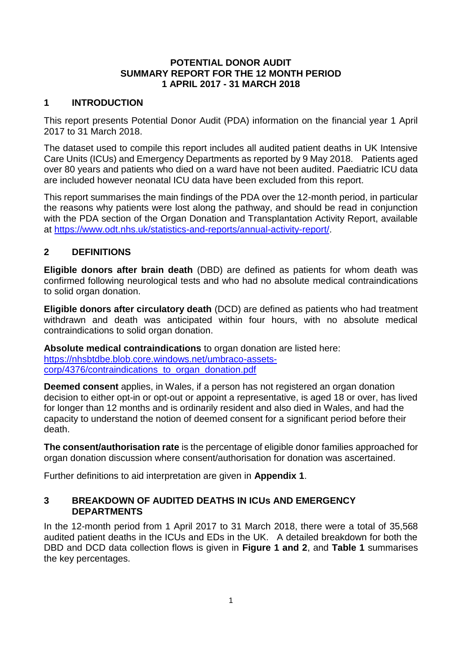#### **POTENTIAL DONOR AUDIT SUMMARY REPORT FOR THE 12 MONTH PERIOD 1 APRIL 2017 - 31 MARCH 2018**

## **1 INTRODUCTION**

This report presents Potential Donor Audit (PDA) information on the financial year 1 April 2017 to 31 March 2018.

The dataset used to compile this report includes all audited patient deaths in UK Intensive Care Units (ICUs) and Emergency Departments as reported by 9 May 2018. Patients aged over 80 years and patients who died on a ward have not been audited. Paediatric ICU data are included however neonatal ICU data have been excluded from this report.

This report summarises the main findings of the PDA over the 12-month period, in particular the reasons why patients were lost along the pathway, and should be read in conjunction with the PDA section of the Organ Donation and Transplantation Activity Report, available at [https://www.odt.nhs.uk/statistics-and-reports/annual-activity-report/.](https://www.odt.nhs.uk/statistics-and-reports/annual-activity-report/)

## **2 DEFINITIONS**

**Eligible donors after brain death** (DBD) are defined as patients for whom death was confirmed following neurological tests and who had no absolute medical contraindications to solid organ donation.

**Eligible donors after circulatory death** (DCD) are defined as patients who had treatment withdrawn and death was anticipated within four hours, with no absolute medical contraindications to solid organ donation.

**Absolute medical contraindications** to organ donation are listed here: [https://nhsbtdbe.blob.core.windows.net/umbraco-assets](https://nhsbtdbe.blob.core.windows.net/umbraco-assets-corp/4376/contraindications_to_organ_donation.pdf)[corp/4376/contraindications\\_to\\_organ\\_donation.pdf](https://nhsbtdbe.blob.core.windows.net/umbraco-assets-corp/4376/contraindications_to_organ_donation.pdf)

**Deemed consent** applies, in Wales, if a person has not registered an organ donation decision to either opt-in or opt-out or appoint a representative, is aged 18 or over, has lived for longer than 12 months and is ordinarily resident and also died in Wales, and had the capacity to understand the notion of deemed consent for a significant period before their death.

**The consent/authorisation rate** is the percentage of eligible donor families approached for organ donation discussion where consent/authorisation for donation was ascertained.

Further definitions to aid interpretation are given in **Appendix 1**.

#### **3 BREAKDOWN OF AUDITED DEATHS IN ICUs AND EMERGENCY DEPARTMENTS**

In the 12-month period from 1 April 2017 to 31 March 2018, there were a total of 35,568 audited patient deaths in the ICUs and EDs in the UK. A detailed breakdown for both the DBD and DCD data collection flows is given in **Figure 1 and 2**, and **Table 1** summarises the key percentages.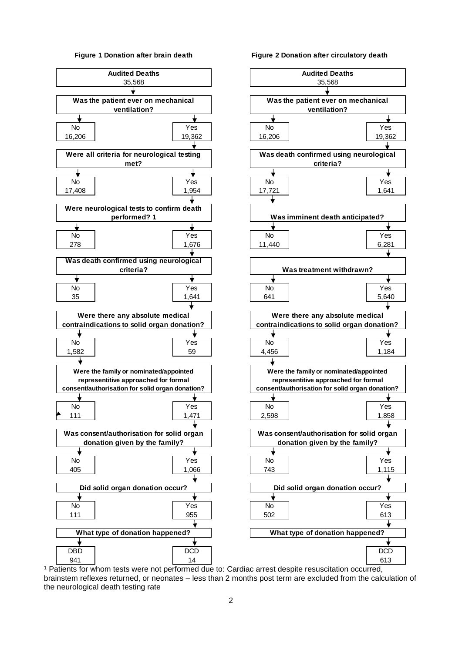#### **Figure 1 Donation after brain death**



**Figure 2 Donation after circulatory death**

**Audited Deaths** 35,568**Was the patient ever on mechanical ventilation?** ◆ ┶ **Was death confirmed using neurological criteria? Was imminent death anticipated?** ╈ **Was treatment withdrawn? Were there any absolute medical contraindications to solid organ donation? Were the family or nominated/appointed representitive approached for formal consent/authorisation for solid organ donation?**  $\bigstar$ ┶ **Was consent/authorisation for solid organ donation given by the family? Did solid organ donation occur? What type of donation happened?**

<sup>1</sup> Patients for whom tests were not performed due to: Cardiac arrest despite resuscitation occurred, brainstem reflexes returned, or neonates – less than 2 months post term are excluded from the calculation of the neurological death testing rate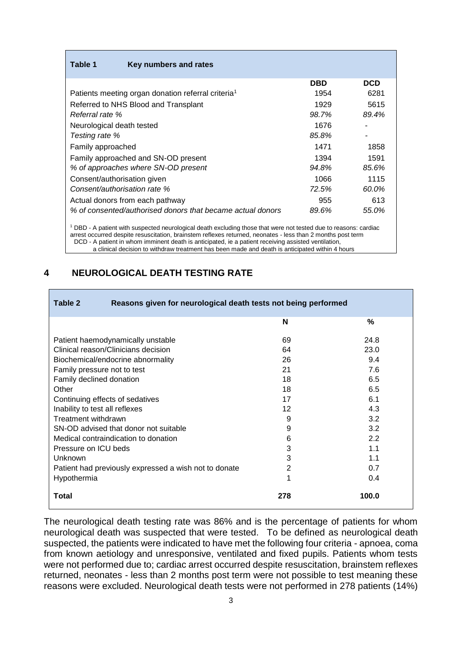| Table 1<br>Key numbers and rates                                                                                            |            |            |
|-----------------------------------------------------------------------------------------------------------------------------|------------|------------|
|                                                                                                                             | <b>DBD</b> | <b>DCD</b> |
| Patients meeting organ donation referral criteria <sup>1</sup>                                                              | 1954       | 6281       |
| Referred to NHS Blood and Transplant                                                                                        | 1929       | 5615       |
| Referral rate %                                                                                                             | 98.7%      | 89.4%      |
| Neurological death tested                                                                                                   | 1676       |            |
| Testing rate %                                                                                                              | 85.8%      |            |
| Family approached                                                                                                           | 1471       | 1858       |
| Family approached and SN-OD present                                                                                         | 1394       | 1591       |
| % of approaches where SN-OD present                                                                                         | 94.8%      | 85.6%      |
| Consent/authorisation given                                                                                                 | 1066       | 1115       |
| Consent/authorisation rate %                                                                                                | 72.5%      | 60.0%      |
| Actual donors from each pathway                                                                                             | 955        | 613        |
| % of consented/authorised donors that became actual donors                                                                  | 89.6%      | 55.0%      |
| <sup>1</sup> DBD - A patient with suspected neurological death excluding those that were not tested due to reasons; cardiac |            |            |

<sup>1</sup> DBD - A patient with suspected neurological death excluding those that were not tested due to reasons: cardiac arrest occurred despite resuscitation, brainstem reflexes returned, neonates - less than 2 months post term <sup>1</sup> DCD - A patient in whom imminent death is anticipated, ie a patient receiving assisted ventilation,

#### a clinical decision to withdraw treatment has been made and death is anticipated within 4 hours

#### **4 NEUROLOGICAL DEATH TESTING RATE**

| Reasons given for neurological death tests not being performed<br>Table 2 |     |       |
|---------------------------------------------------------------------------|-----|-------|
|                                                                           | N   | %     |
| Patient haemodynamically unstable                                         | 69  | 24.8  |
| Clinical reason/Clinicians decision                                       | 64  | 23.0  |
| Biochemical/endocrine abnormality                                         | 26  | 9.4   |
| Family pressure not to test                                               | 21  | 7.6   |
| Family declined donation                                                  | 18  | 6.5   |
| Other                                                                     | 18  | 6.5   |
| Continuing effects of sedatives                                           | 17  | 6.1   |
| Inability to test all reflexes<br>12<br>4.3                               |     |       |
| Treatment withdrawn                                                       | 3.2 |       |
| SN-OD advised that donor not suitable                                     | 9   | 3.2   |
| Medical contraindication to donation                                      | 6   | 2.2   |
| Pressure on ICU beds                                                      | 3   | 1.1   |
| Unknown                                                                   | 3   | 1.1   |
| Patient had previously expressed a wish not to donate                     | 2   | 0.7   |
| Hypothermia                                                               | 1   | 0.4   |
| Total                                                                     | 278 | 100.0 |

The neurological death testing rate was 86% and is the percentage of patients for whom neurological death was suspected that were tested. To be defined as neurological death suspected, the patients were indicated to have met the following four criteria - apnoea, coma from known aetiology and unresponsive, ventilated and fixed pupils. Patients whom tests were not performed due to; cardiac arrest occurred despite resuscitation, brainstem reflexes returned, neonates - less than 2 months post term were not possible to test meaning these reasons were excluded. Neurological death tests were not performed in 278 patients (14%)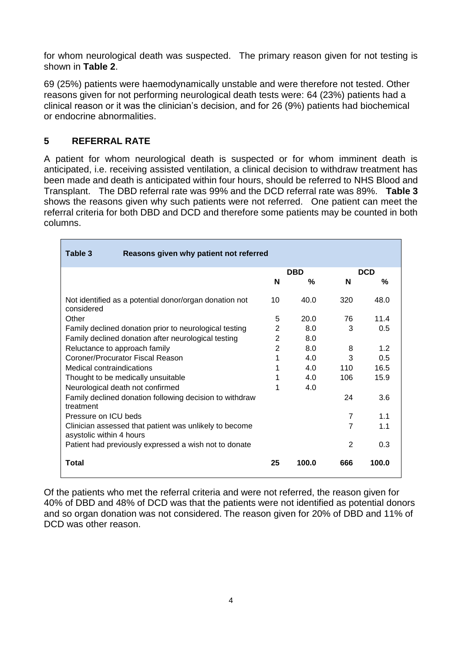for whom neurological death was suspected. The primary reason given for not testing is shown in **Table 2**.

69 (25%) patients were haemodynamically unstable and were therefore not tested. Other reasons given for not performing neurological death tests were: 64 (23%) patients had a clinical reason or it was the clinician's decision, and for 26 (9%) patients had biochemical or endocrine abnormalities.

## **5 REFERRAL RATE**

A patient for whom neurological death is suspected or for whom imminent death is anticipated, i.e. receiving assisted ventilation, a clinical decision to withdraw treatment has been made and death is anticipated within four hours, should be referred to NHS Blood and Transplant. The DBD referral rate was 99% and the DCD referral rate was 89%. **Table 3** shows the reasons given why such patients were not referred. One patient can meet the referral criteria for both DBD and DCD and therefore some patients may be counted in both columns.

| Table 3<br>Reasons given why patient not referred                                  |                |            |                |            |
|------------------------------------------------------------------------------------|----------------|------------|----------------|------------|
|                                                                                    |                | <b>DBD</b> |                | <b>DCD</b> |
|                                                                                    | N              | %          | N              | %          |
| Not identified as a potential donor/organ donation not<br>considered               | 10             | 40.0       | 320            | 48.0       |
| Other                                                                              | 5              | 20.0       | 76             | 11.4       |
| Family declined donation prior to neurological testing                             | 2              | 8.0        | 3              | 0.5        |
| Family declined donation after neurological testing                                | $\overline{2}$ | 8.0        |                |            |
| Reluctance to approach family                                                      |                | 8.0        | 8              | 1.2        |
| Coroner/Procurator Fiscal Reason                                                   | 1              | 4.0        | 3              | 0.5        |
| Medical contraindications                                                          | 1              | 4.0        | 110            | 16.5       |
| Thought to be medically unsuitable                                                 |                | 4.0        | 106            | 15.9       |
| Neurological death not confirmed                                                   |                | 4.0        |                |            |
| Family declined donation following decision to withdraw<br>treatment               |                |            | 24             | 3.6        |
| Pressure on ICU beds                                                               |                |            | $\overline{7}$ | 1.1        |
| Clinician assessed that patient was unlikely to become<br>asystolic within 4 hours |                |            | 7              | 1.1        |
| Patient had previously expressed a wish not to donate                              |                |            | 2              | 0.3        |
| <b>Total</b>                                                                       | 25             | 100.0      | 666            | 100.0      |

Of the patients who met the referral criteria and were not referred, the reason given for 40% of DBD and 48% of DCD was that the patients were not identified as potential donors and so organ donation was not considered. The reason given for 20% of DBD and 11% of DCD was other reason.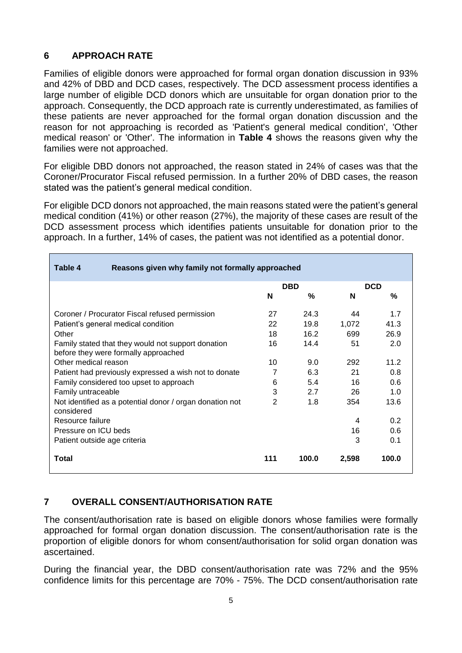## **6 APPROACH RATE**

Families of eligible donors were approached for formal organ donation discussion in 93% and 42% of DBD and DCD cases, respectively. The DCD assessment process identifies a large number of eligible DCD donors which are unsuitable for organ donation prior to the approach. Consequently, the DCD approach rate is currently underestimated, as families of these patients are never approached for the formal organ donation discussion and the reason for not approaching is recorded as 'Patient's general medical condition', 'Other medical reason' or 'Other'. The information in **Table 4** shows the reasons given why the families were not approached.

For eligible DBD donors not approached, the reason stated in 24% of cases was that the Coroner/Procurator Fiscal refused permission. In a further 20% of DBD cases, the reason stated was the patient's general medical condition.

For eligible DCD donors not approached, the main reasons stated were the patient's general medical condition (41%) or other reason (27%), the majority of these cases are result of the DCD assessment process which identifies patients unsuitable for donation prior to the approach. In a further, 14% of cases, the patient was not identified as a potential donor.

| Reasons given why family not formally approached<br>Table 4                                |                 |            |       |            |
|--------------------------------------------------------------------------------------------|-----------------|------------|-------|------------|
|                                                                                            |                 | <b>DBD</b> |       | <b>DCD</b> |
|                                                                                            | N               | ℅          | N     | ℅          |
| 27<br>24.3<br>44<br>1.7<br>Coroner / Procurator Fiscal refused permission                  |                 |            |       |            |
| Patient's general medical condition                                                        | 22              | 19.8       | 1,072 | 41.3       |
| Other                                                                                      | 18              | 16.2       | 699   | 26.9       |
| Family stated that they would not support donation<br>before they were formally approached | 16              | 14.4       | 51    | 2.0        |
| Other medical reason                                                                       | 10 <sup>1</sup> | 9.0        | 292   | 11.2       |
| Patient had previously expressed a wish not to donate                                      | 7               | 6.3        | 21    | 0.8        |
| Family considered too upset to approach                                                    | 6               | 5.4        | 16    | 0.6        |
| Family untraceable                                                                         | 3               | 2.7        | 26    | 1.0        |
| Not identified as a potential donor / organ donation not<br>considered                     | $\overline{2}$  | 1.8        | 354   | 13.6       |
| Resource failure                                                                           |                 |            | 4     | 0.2        |
| Pressure on ICU beds                                                                       |                 |            | 16    | 0.6        |
| Patient outside age criteria                                                               |                 |            | 3     | 0.1        |
| <b>Total</b>                                                                               | 111             | 100.0      | 2,598 | 100.0      |

## **7 OVERALL CONSENT/AUTHORISATION RATE**

The consent/authorisation rate is based on eligible donors whose families were formally approached for formal organ donation discussion. The consent/authorisation rate is the proportion of eligible donors for whom consent/authorisation for solid organ donation was ascertained.

During the financial year, the DBD consent/authorisation rate was 72% and the 95% confidence limits for this percentage are 70% - 75%. The DCD consent/authorisation rate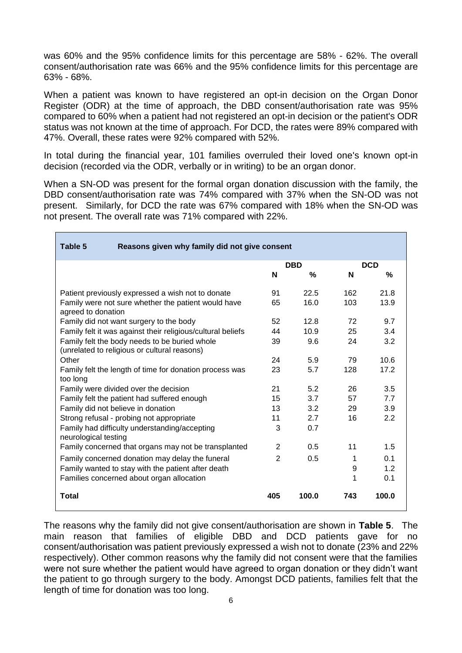was 60% and the 95% confidence limits for this percentage are 58% - 62%. The overall consent/authorisation rate was 66% and the 95% confidence limits for this percentage are 63% - 68%.

When a patient was known to have registered an opt-in decision on the Organ Donor Register (ODR) at the time of approach, the DBD consent/authorisation rate was 95% compared to 60% when a patient had not registered an opt-in decision or the patient's ODR status was not known at the time of approach. For DCD, the rates were 89% compared with 47%. Overall, these rates were 92% compared with 52%.

In total during the financial year, 101 families overruled their loved one's known opt-in decision (recorded via the ODR, verbally or in writing) to be an organ donor.

When a SN-OD was present for the formal organ donation discussion with the family, the DBD consent/authorisation rate was 74% compared with 37% when the SN-OD was not present. Similarly, for DCD the rate was 67% compared with 18% when the SN-OD was not present. The overall rate was 71% compared with 22%.

| Table 5<br>Reasons given why family did not give consent                                      |                |            |     |            |
|-----------------------------------------------------------------------------------------------|----------------|------------|-----|------------|
|                                                                                               |                | <b>DBD</b> |     | <b>DCD</b> |
|                                                                                               | N              | %          | N   | %          |
| Patient previously expressed a wish not to donate                                             | 91             | 22.5       | 162 | 21.8       |
| Family were not sure whether the patient would have<br>agreed to donation                     | 65             | 16.0       | 103 | 13.9       |
| Family did not want surgery to the body                                                       | 52             | 12.8       | 72  | 9.7        |
| Family felt it was against their religious/cultural beliefs                                   | 44             | 10.9       | 25  | 3.4        |
| Family felt the body needs to be buried whole<br>(unrelated to religious or cultural reasons) | 39             | 9.6        | 24  | 3.2        |
| Other                                                                                         | 24             | 5.9        | 79  | 10.6       |
| Family felt the length of time for donation process was<br>too long                           | 23             | 5.7        | 128 | 17.2       |
| Family were divided over the decision                                                         | 21             | 5.2        | 26  | 3.5        |
| Family felt the patient had suffered enough                                                   |                | 3.7        | 57  | 7.7        |
| Family did not believe in donation                                                            | 13             | 3.2        | 29  | 3.9        |
| Strong refusal - probing not appropriate                                                      | 11             | 2.7        | 16  | 2.2        |
| Family had difficulty understanding/accepting<br>neurological testing                         | 3              | 0.7        |     |            |
| Family concerned that organs may not be transplanted                                          | $\overline{2}$ | 0.5        | 11  | 1.5        |
| Family concerned donation may delay the funeral                                               | 2              | 0.5        | 1   | 0.1        |
| Family wanted to stay with the patient after death                                            |                |            | 9   | 1.2        |
| Families concerned about organ allocation                                                     |                |            |     | 0.1        |
| <b>Total</b>                                                                                  | 405            | 100.0      | 743 | 100.0      |

The reasons why the family did not give consent/authorisation are shown in **Table 5**. The main reason that families of eligible DBD and DCD patients gave for no consent/authorisation was patient previously expressed a wish not to donate (23% and 22% respectively). Other common reasons why the family did not consent were that the families were not sure whether the patient would have agreed to organ donation or they didn't want the patient to go through surgery to the body. Amongst DCD patients, families felt that the length of time for donation was too long.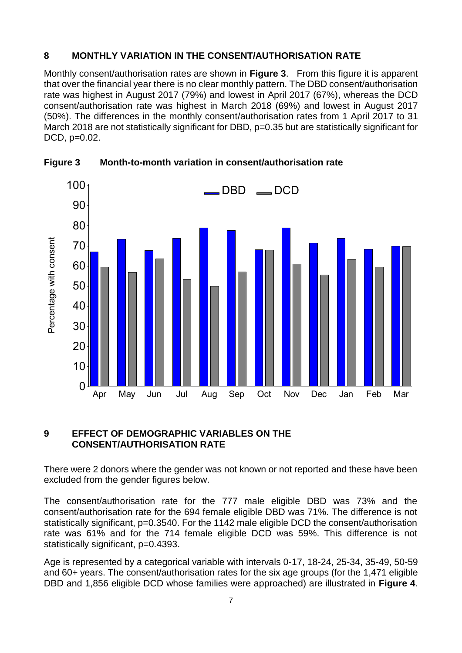## **8 MONTHLY VARIATION IN THE CONSENT/AUTHORISATION RATE**

Monthly consent/authorisation rates are shown in **Figure 3**. From this figure it is apparent that over the financial year there is no clear monthly pattern. The DBD consent/authorisation rate was highest in August 2017 (79%) and lowest in April 2017 (67%), whereas the DCD consent/authorisation rate was highest in March 2018 (69%) and lowest in August 2017 (50%). The differences in the monthly consent/authorisation rates from 1 April 2017 to 31 March 2018 are not statistically significant for DBD, p=0.35 but are statistically significant for DCD, p=0.02.



**Figure 3 Month-to-month variation in consent/authorisation rate**

## **9 EFFECT OF DEMOGRAPHIC VARIABLES ON THE CONSENT/AUTHORISATION RATE**

There were 2 donors where the gender was not known or not reported and these have been excluded from the gender figures below.

The consent/authorisation rate for the 777 male eligible DBD was 73% and the consent/authorisation rate for the 694 female eligible DBD was 71%. The difference is not statistically significant, p=0.3540. For the 1142 male eligible DCD the consent/authorisation rate was 61% and for the 714 female eligible DCD was 59%. This difference is not statistically significant, p=0.4393.

Age is represented by a categorical variable with intervals 0-17, 18-24, 25-34, 35-49, 50-59 and 60+ years. The consent/authorisation rates for the six age groups (for the 1,471 eligible DBD and 1,856 eligible DCD whose families were approached) are illustrated in **Figure 4**.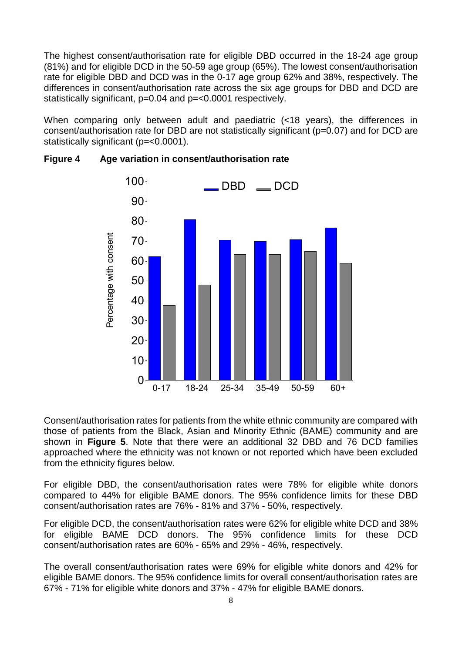The highest consent/authorisation rate for eligible DBD occurred in the 18-24 age group (81%) and for eligible DCD in the 50-59 age group (65%). The lowest consent/authorisation rate for eligible DBD and DCD was in the 0-17 age group 62% and 38%, respectively. The differences in consent/authorisation rate across the six age groups for DBD and DCD are statistically significant, p=0.04 and p=<0.0001 respectively.

When comparing only between adult and paediatric (<18 years), the differences in consent/authorisation rate for DBD are not statistically significant (p=0.07) and for DCD are statistically significant (p=<0.0001).



## **Figure 4 Age variation in consent/authorisation rate**

Consent/authorisation rates for patients from the white ethnic community are compared with those of patients from the Black, Asian and Minority Ethnic (BAME) community and are shown in **Figure 5**. Note that there were an additional 32 DBD and 76 DCD families approached where the ethnicity was not known or not reported which have been excluded from the ethnicity figures below.

For eligible DBD, the consent/authorisation rates were 78% for eligible white donors compared to 44% for eligible BAME donors. The 95% confidence limits for these DBD consent/authorisation rates are 76% - 81% and 37% - 50%, respectively.

For eligible DCD, the consent/authorisation rates were 62% for eligible white DCD and 38% for eligible BAME DCD donors. The 95% confidence limits for these DCD consent/authorisation rates are 60% - 65% and 29% - 46%, respectively.

The overall consent/authorisation rates were 69% for eligible white donors and 42% for eligible BAME donors. The 95% confidence limits for overall consent/authorisation rates are 67% - 71% for eligible white donors and 37% - 47% for eligible BAME donors.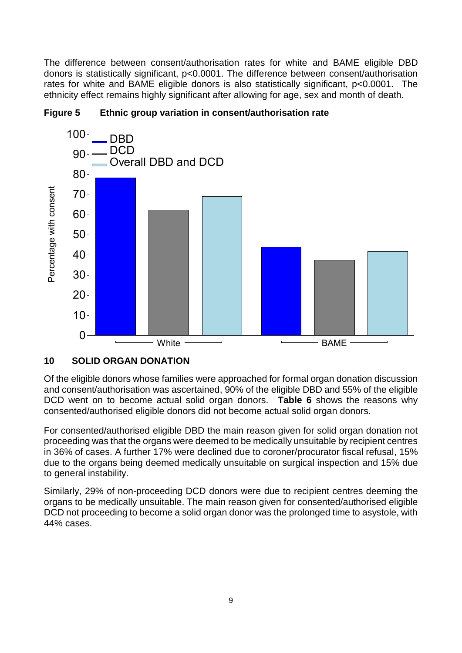The difference between consent/authorisation rates for white and BAME eligible DBD donors is statistically significant, p<0.0001. The difference between consent/authorisation rates for white and BAME eligible donors is also statistically significant, p<0.0001. The ethnicity effect remains highly significant after allowing for age, sex and month of death.



#### **Figure 5 Ethnic group variation in consent/authorisation rate**

#### **10 SOLID ORGAN DONATION**

Of the eligible donors whose families were approached for formal organ donation discussion and consent/authorisation was ascertained, 90% of the eligible DBD and 55% of the eligible DCD went on to become actual solid organ donors. **Table 6** shows the reasons why consented/authorised eligible donors did not become actual solid organ donors.

For consented/authorised eligible DBD the main reason given for solid organ donation not proceeding was that the organs were deemed to be medically unsuitable by recipient centres in 36% of cases. A further 17% were declined due to coroner/procurator fiscal refusal, 15% due to the organs being deemed medically unsuitable on surgical inspection and 15% due to general instability.

Similarly, 29% of non-proceeding DCD donors were due to recipient centres deeming the organs to be medically unsuitable. The main reason given for consented/authorised eligible DCD not proceeding to become a solid organ donor was the prolonged time to asystole, with 44% cases.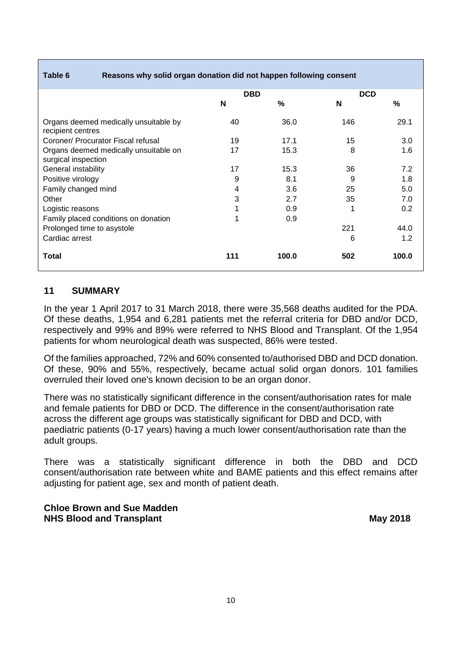#### **Table 6 Reasons why solid organ donation did not happen following consent**

|                                                              | <b>DBD</b> |       | <b>DCD</b> |       |
|--------------------------------------------------------------|------------|-------|------------|-------|
|                                                              | N          | %     | N          | %     |
| Organs deemed medically unsuitable by<br>recipient centres   | 40         | 36.0  | 146        | 29.1  |
| Coroner/ Procurator Fiscal refusal                           | 19         | 17.1  | 15         | 3.0   |
| Organs deemed medically unsuitable on<br>surgical inspection | 17         | 15.3  | 8          | 1.6   |
| General instability                                          | 17         | 15.3  | 36         | 7.2   |
| Positive virology                                            | 9          | 8.1   | 9          | 1.8   |
| Family changed mind                                          | 4          | 3.6   | 25         | 5.0   |
| Other                                                        | 3          | 2.7   | 35         | 7.0   |
| Logistic reasons                                             |            | 0.9   |            | 0.2   |
| Family placed conditions on donation                         |            | 0.9   |            |       |
| Prolonged time to asystole                                   |            |       | 221        | 44.0  |
| Cardiac arrest                                               |            |       | 6          | 1.2   |
| <b>Total</b>                                                 | 111        | 100.0 | 502        | 100.0 |

#### **11 SUMMARY**

In the year 1 April 2017 to 31 March 2018, there were 35,568 deaths audited for the PDA. Of these deaths, 1,954 and 6,281 patients met the referral criteria for DBD and/or DCD, respectively and 99% and 89% were referred to NHS Blood and Transplant. Of the 1,954 patients for whom neurological death was suspected, 86% were tested.

Of the families approached, 72% and 60% consented to/authorised DBD and DCD donation. Of these, 90% and 55%, respectively, became actual solid organ donors. 101 families overruled their loved one's known decision to be an organ donor.

There was no statistically significant difference in the consent/authorisation rates for male and female patients for DBD or DCD. The difference in the consent/authorisation rate across the different age groups was statistically significant for DBD and DCD, with paediatric patients (0-17 years) having a much lower consent/authorisation rate than the adult groups.

There was a statistically significant difference in both the DBD and DCD consent/authorisation rate between white and BAME patients and this effect remains after adjusting for patient age, sex and month of patient death.

#### **Chloe Brown and Sue Madden NHS Blood and Transplant May 2018**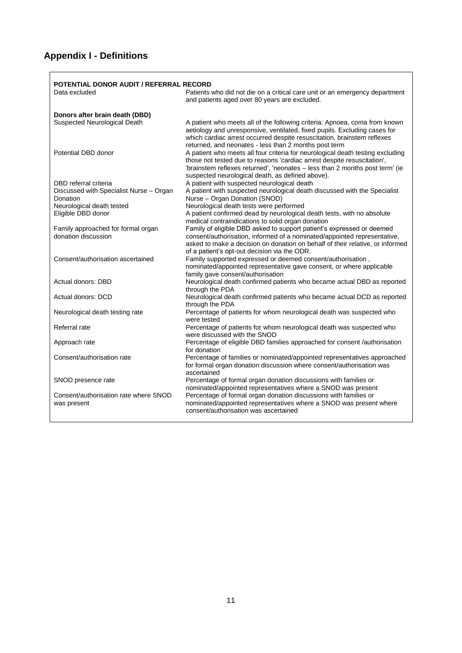# **Appendix I - Definitions**

| Data excluded                                             | <b>POTENTIAL DONOR AUDIT / REFERRAL RECORD</b><br>Patients who did not die on a critical care unit or an emergency department                                                                                                                                                                 |
|-----------------------------------------------------------|-----------------------------------------------------------------------------------------------------------------------------------------------------------------------------------------------------------------------------------------------------------------------------------------------|
|                                                           | and patients aged over 80 years are excluded.                                                                                                                                                                                                                                                 |
| Donors after brain death (DBD)                            |                                                                                                                                                                                                                                                                                               |
| Suspected Neurological Death                              | A patient who meets all of the following criteria: Apnoea, coma from known<br>aetiology and unresponsive, ventilated, fixed pupils. Excluding cases for<br>which cardiac arrest occurred despite resuscitation, brainstem reflexes<br>returned, and neonates - less than 2 months post term   |
| Potential DBD donor                                       | A patient who meets all four criteria for neurological death testing excluding<br>those not tested due to reasons 'cardiac arrest despite resuscitation',<br>'brainstem reflexes returned', 'neonates - less than 2 months post term' (ie<br>suspected neurological death, as defined above). |
| DBD referral criteria                                     | A patient with suspected neurological death                                                                                                                                                                                                                                                   |
| Discussed with Specialist Nurse - Organ<br>Donation       | A patient with suspected neurological death discussed with the Specialist<br>Nurse - Organ Donation (SNOD)                                                                                                                                                                                    |
| Neurological death tested                                 | Neurological death tests were performed                                                                                                                                                                                                                                                       |
| Eligible DBD donor                                        | A patient confirmed dead by neurological death tests, with no absolute<br>medical contraindications to solid organ donation                                                                                                                                                                   |
| Family approached for formal organ<br>donation discussion | Family of eligible DBD asked to support patient's expressed or deemed<br>consent/authorisation, informed of a nominated/appointed representative,<br>asked to make a decision on donation on behalf of their relative, or informed<br>of a patient's opt-out decision via the ODR.            |
| Consent/authorisation ascertained                         | Family supported expressed or deemed consent/authorisation,<br>nominated/appointed representative gave consent, or where applicable<br>family gave consent/authorisation                                                                                                                      |
| Actual donors: DBD                                        | Neurological death confirmed patients who became actual DBD as reported<br>through the PDA                                                                                                                                                                                                    |
| Actual donors: DCD                                        | Neurological death confirmed patients who became actual DCD as reported<br>through the PDA                                                                                                                                                                                                    |
| Neurological death testing rate                           | Percentage of patients for whom neurological death was suspected who<br>were tested                                                                                                                                                                                                           |
| Referral rate                                             | Percentage of patients for whom neurological death was suspected who<br>were discussed with the SNOD                                                                                                                                                                                          |
| Approach rate                                             | Percentage of eligible DBD families approached for consent /authorisation<br>for donation                                                                                                                                                                                                     |
| Consent/authorisation rate                                | Percentage of families or nominated/appointed representatives approached<br>for formal organ donation discussion where consent/authorisation was<br>ascertained                                                                                                                               |
| SNOD presence rate                                        | Percentage of formal organ donation discussions with families or<br>nominated/appointed representatives where a SNOD was present                                                                                                                                                              |
| Consent/authorisation rate where SNOD<br>was present      | Percentage of formal organ donation discussions with families or<br>nominated/appointed representatives where a SNOD was present where<br>consent/authorisation was ascertained                                                                                                               |